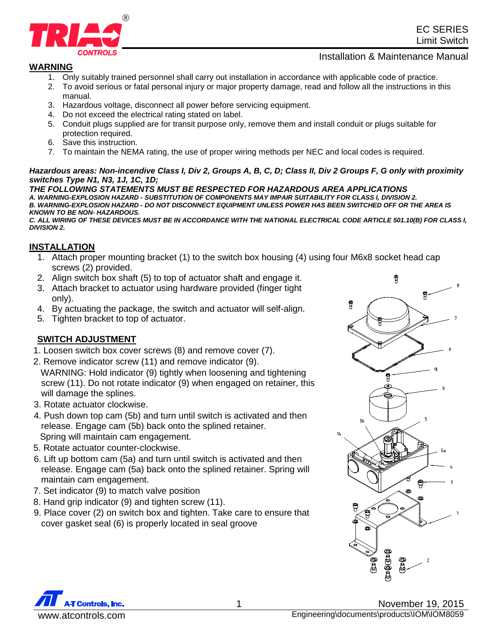

## Installation & Maintenance Manual

## **WARNING**

- 1. Only suitably trained personnel shall carry out installation in accordance with applicable code of practice.
- 2. To avoid serious or fatal personal injury or major property damage, read and follow all the instructions in this manual.
- 3. Hazardous voltage, disconnect all power before servicing equipment.
- 4. Do not exceed the electrical rating stated on label.
- 5. Conduit plugs supplied are for transit purpose only, remove them and install conduit or plugs suitable for protection required.
- 6. Save this instruction.
- 7. To maintain the NEMA rating, the use of proper wiring methods per NEC and local codes is required.

#### *Hazardous areas: Non-incendive Class I, Div 2, Groups A, B, C, D; Class II, Div 2 Groups F, G only with proximity switches Type N1, N3, 1J, 1C, 1D;*

*THE FOLLOWING STATEMENTS MUST BE RESPECTED FOR HAZARDOUS AREA APPLICATIONS A. WARNING-EXPLOSION HAZARD - SUBSTITUTION OF COMPONENTS MAY IMPAIR SUITABILITY FOR CLASS I, DIVISION 2. B. WARNING-EXPLOSION HAZARD - DO NOT DISCONNECT EQUIPMENT UNLESS POWER HAS BEEN SWITCHED OFF OR THE AREA IS KNOWN TO BE NON- HAZARDOUS.*

*C. ALL WIRING OF THESE DEVICES MUST BE IN ACCORDANCE WITH THE NATIONAL ELECTRICAL CODE ARTICLE 501.10(B) FOR CLASS I, DIVISION 2.*

## **INSTALLATION**

- 1. Attach proper mounting bracket (1) to the switch box housing (4) using four M6x8 socket head cap screws (2) provided.
- 2. Align switch box shaft (5) to top of actuator shaft and engage it.
- 3. Attach bracket to actuator using hardware provided (finger tight only).
- 4. By actuating the package, the switch and actuator will self-align.
- 5. Tighten bracket to top of actuator.

# **SWITCH ADJUSTMENT**

- 1. Loosen switch box cover screws (8) and remove cover (7).
- 2. Remove indicator screw (11) and remove indicator (9).
- WARNING: Hold indicator (9) tightly when loosening and tightening screw (11). Do not rotate indicator (9) when engaged on retainer, this will damage the splines.
- 3. Rotate actuator clockwise.
- 4. Push down top cam (5b) and turn until switch is activated and then release. Engage cam (5b) back onto the splined retainer. Spring will maintain cam engagement.
- 5. Rotate actuator counter-clockwise.
- 6. Lift up bottom cam (5a) and turn until switch is activated and then release. Engage cam (5a) back onto the splined retainer. Spring will maintain cam engagement.
- 7. Set indicator (9) to match valve position
- 8. Hand grip indicator (9) and tighten screw (11).
- 9. Place cover (2) on switch box and tighten. Take care to ensure that cover gasket seal (6) is properly located in seal groove





1 November 19, 2015 www.atcontrols.com Engineering\documents\products\IOM\IOM8059